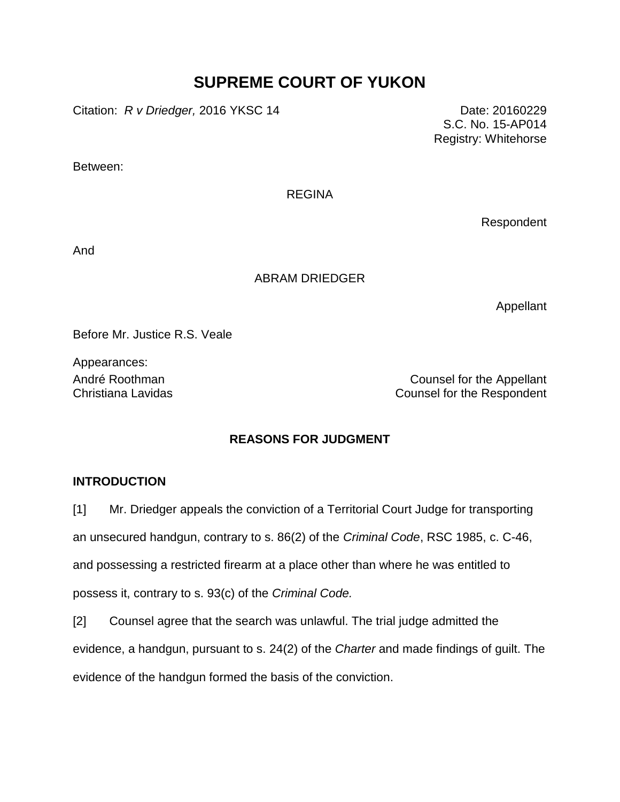# **SUPREME COURT OF YUKON**

Citation: *R v Driedger,* 2016 YKSC 14 Date: 20160229

S.C. No. 15-AP014 Registry: Whitehorse

Between:

#### REGINA

Respondent

And

## ABRAM DRIEDGER

Appellant

Before Mr. Justice R.S. Veale

Appearances:

André Roothman **Counsel for the Appellant** Christiana Lavidas Counsel for the Respondent

# **REASONS FOR JUDGMENT**

## **INTRODUCTION**

[1] Mr. Driedger appeals the conviction of a Territorial Court Judge for transporting an unsecured handgun, contrary to s. 86(2) of the *Criminal Code*, RSC 1985, c. C-46, and possessing a restricted firearm at a place other than where he was entitled to possess it, contrary to s. 93(c) of the *Criminal Code.*

[2] Counsel agree that the search was unlawful. The trial judge admitted the evidence, a handgun, pursuant to s. 24(2) of the *Charter* and made findings of guilt. The evidence of the handgun formed the basis of the conviction.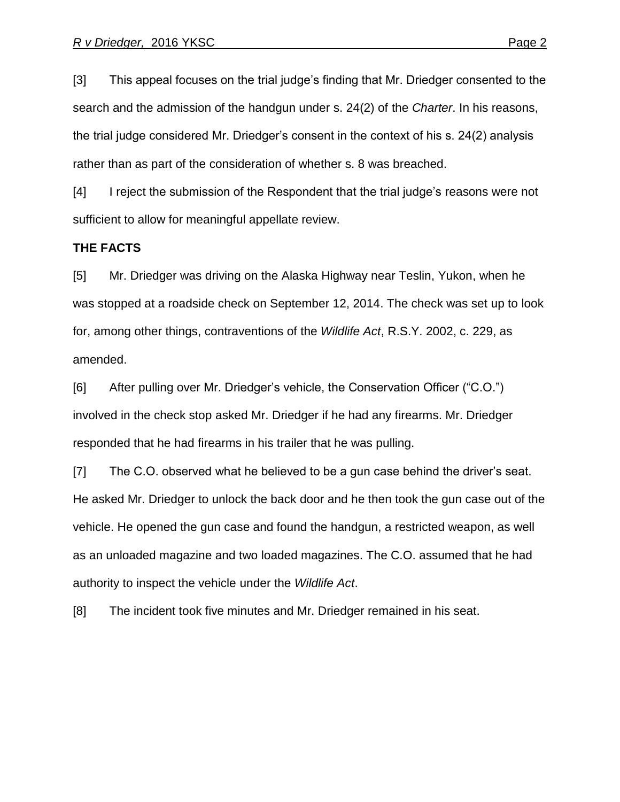[3] This appeal focuses on the trial judge's finding that Mr. Driedger consented to the search and the admission of the handgun under s. 24(2) of the *Charter*. In his reasons, the trial judge considered Mr. Driedger's consent in the context of his s. 24(2) analysis rather than as part of the consideration of whether s. 8 was breached.

[4] I reject the submission of the Respondent that the trial judge's reasons were not sufficient to allow for meaningful appellate review.

#### **THE FACTS**

[5] Mr. Driedger was driving on the Alaska Highway near Teslin, Yukon, when he was stopped at a roadside check on September 12, 2014. The check was set up to look for, among other things, contraventions of the *Wildlife Act*, R.S.Y. 2002, c. 229, as amended.

[6] After pulling over Mr. Driedger's vehicle, the Conservation Officer ("C.O.") involved in the check stop asked Mr. Driedger if he had any firearms. Mr. Driedger responded that he had firearms in his trailer that he was pulling.

[7] The C.O. observed what he believed to be a gun case behind the driver's seat. He asked Mr. Driedger to unlock the back door and he then took the gun case out of the vehicle. He opened the gun case and found the handgun, a restricted weapon, as well as an unloaded magazine and two loaded magazines. The C.O. assumed that he had authority to inspect the vehicle under the *Wildlife Act*.

[8] The incident took five minutes and Mr. Driedger remained in his seat.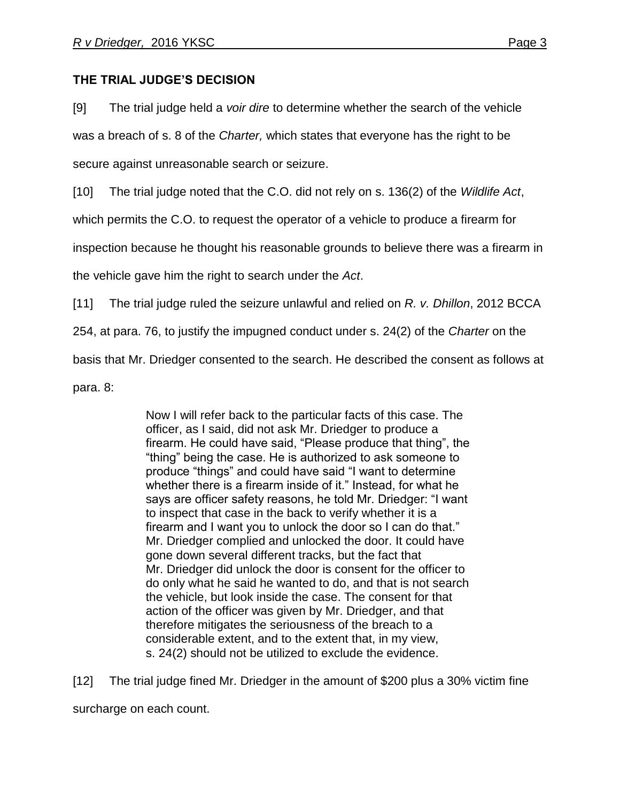# **THE TRIAL JUDGE'S DECISION**

[9] The trial judge held a *voir dire* to determine whether the search of the vehicle was a breach of s. 8 of the *Charter,* which states that everyone has the right to be secure against unreasonable search or seizure.

[10] The trial judge noted that the C.O. did not rely on s. 136(2) of the *Wildlife Act*,

which permits the C.O. to request the operator of a vehicle to produce a firearm for

inspection because he thought his reasonable grounds to believe there was a firearm in

the vehicle gave him the right to search under the *Act*.

[11] The trial judge ruled the seizure unlawful and relied on *R. v. Dhillon*, 2012 BCCA

254, at para. 76, to justify the impugned conduct under s. 24(2) of the *Charter* on the

basis that Mr. Driedger consented to the search. He described the consent as follows at

para. 8:

Now I will refer back to the particular facts of this case. The officer, as I said, did not ask Mr. Driedger to produce a firearm. He could have said, "Please produce that thing", the "thing" being the case. He is authorized to ask someone to produce "things" and could have said "I want to determine whether there is a firearm inside of it." Instead, for what he says are officer safety reasons, he told Mr. Driedger: "I want to inspect that case in the back to verify whether it is a firearm and I want you to unlock the door so I can do that." Mr. Driedger complied and unlocked the door. It could have gone down several different tracks, but the fact that Mr. Driedger did unlock the door is consent for the officer to do only what he said he wanted to do, and that is not search the vehicle, but look inside the case. The consent for that action of the officer was given by Mr. Driedger, and that therefore mitigates the seriousness of the breach to a considerable extent, and to the extent that, in my view, s. 24(2) should not be utilized to exclude the evidence.

[12] The trial judge fined Mr. Driedger in the amount of \$200 plus a 30% victim fine surcharge on each count.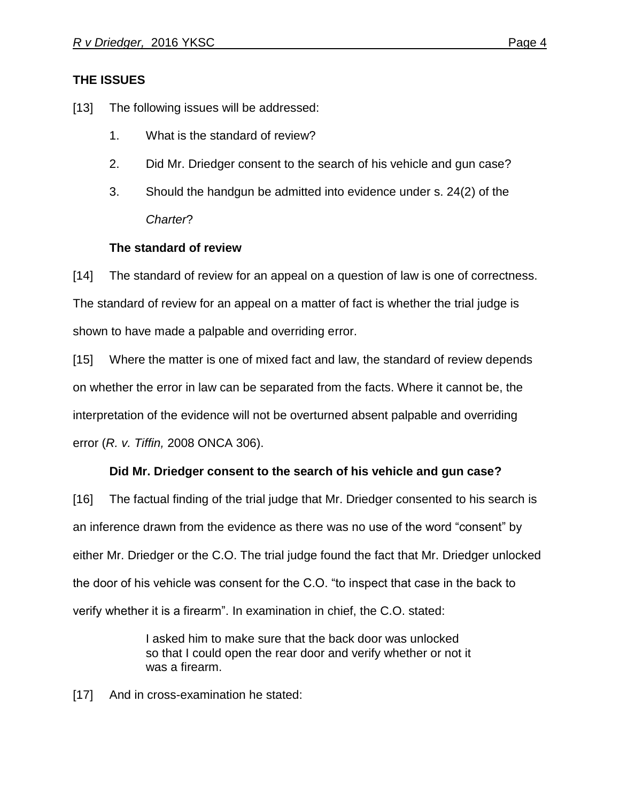# **THE ISSUES**

[13] The following issues will be addressed:

- 1. What is the standard of review?
- 2. Did Mr. Driedger consent to the search of his vehicle and gun case?
- 3. Should the handgun be admitted into evidence under s. 24(2) of the *Charter*?

## **The standard of review**

[14] The standard of review for an appeal on a question of law is one of correctness. The standard of review for an appeal on a matter of fact is whether the trial judge is shown to have made a palpable and overriding error.

[15] Where the matter is one of mixed fact and law, the standard of review depends on whether the error in law can be separated from the facts. Where it cannot be, the interpretation of the evidence will not be overturned absent palpable and overriding error (*R. v. Tiffin,* 2008 ONCA 306).

## **Did Mr. Driedger consent to the search of his vehicle and gun case?**

[16] The factual finding of the trial judge that Mr. Driedger consented to his search is an inference drawn from the evidence as there was no use of the word "consent" by either Mr. Driedger or the C.O. The trial judge found the fact that Mr. Driedger unlocked the door of his vehicle was consent for the C.O. "to inspect that case in the back to verify whether it is a firearm". In examination in chief, the C.O. stated:

> I asked him to make sure that the back door was unlocked so that I could open the rear door and verify whether or not it was a firearm.

[17] And in cross-examination he stated: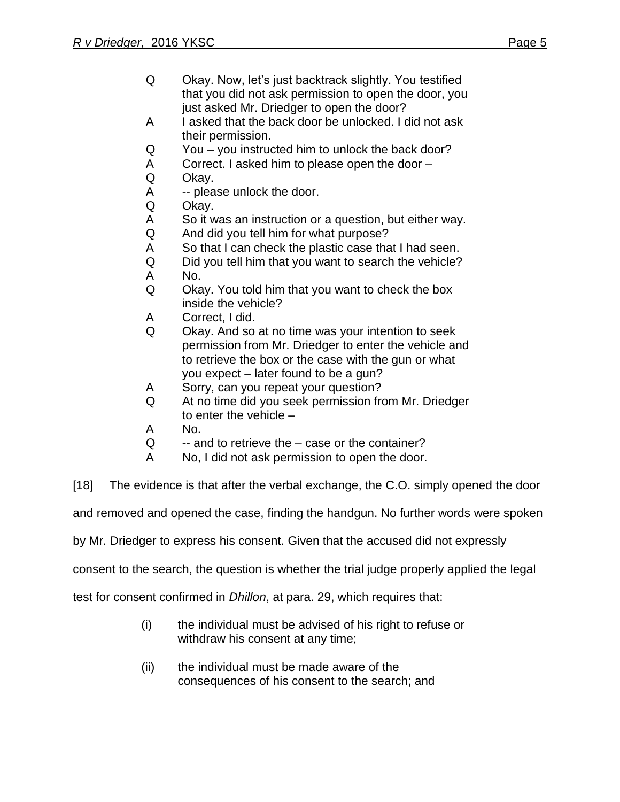- Q Okay. Now, let's just backtrack slightly. You testified that you did not ask permission to open the door, you just asked Mr. Driedger to open the door?
- A I asked that the back door be unlocked. I did not ask their permission.
- Q You you instructed him to unlock the back door?
- A Correct. I asked him to please open the door –
- Q Okay.
- A -- please unlock the door.
- Q Okay.
- A So it was an instruction or a question, but either way.
- Q And did you tell him for what purpose?
- A So that I can check the plastic case that I had seen.
- Q Did you tell him that you want to search the vehicle?
- A No.
- Q Okay. You told him that you want to check the box inside the vehicle?
- A Correct, I did.
- Q Okay. And so at no time was your intention to seek permission from Mr. Driedger to enter the vehicle and to retrieve the box or the case with the gun or what you expect – later found to be a gun?
- A Sorry, can you repeat your question?
- Q At no time did you seek permission from Mr. Driedger to enter the vehicle –
- A No.
- $Q \rightarrow$  and to retrieve the case or the container?
- A No, I did not ask permission to open the door.
- [18] The evidence is that after the verbal exchange, the C.O. simply opened the door

and removed and opened the case, finding the handgun. No further words were spoken

by Mr. Driedger to express his consent. Given that the accused did not expressly

consent to the search, the question is whether the trial judge properly applied the legal

test for consent confirmed in *Dhillon*, at para. 29, which requires that:

- (i) the individual must be advised of his right to refuse or withdraw his consent at any time;
- (ii) the individual must be made aware of the consequences of his consent to the search; and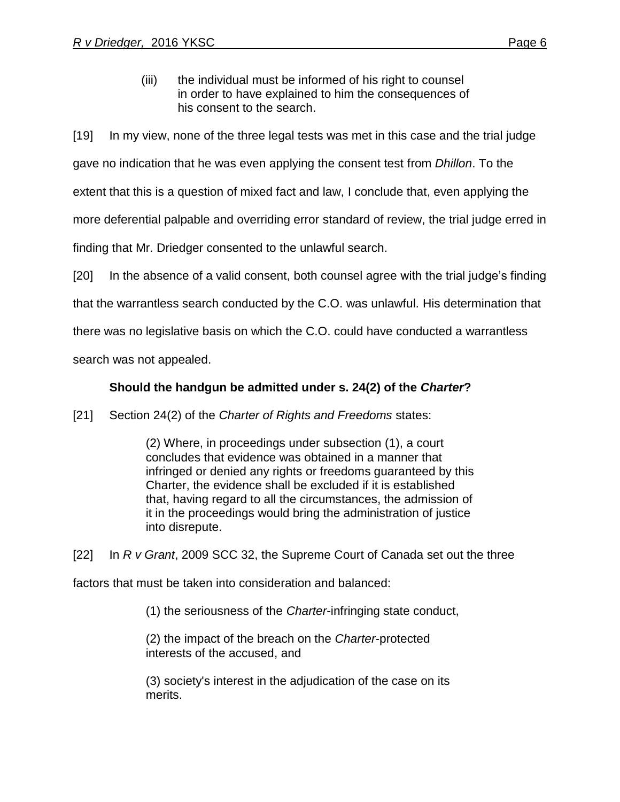(iii) the individual must be informed of his right to counsel in order to have explained to him the consequences of his consent to the search.

[19] In my view, none of the three legal tests was met in this case and the trial judge

gave no indication that he was even applying the consent test from *Dhillon*. To the

extent that this is a question of mixed fact and law, I conclude that, even applying the

more deferential palpable and overriding error standard of review, the trial judge erred in

finding that Mr. Driedger consented to the unlawful search.

[20] In the absence of a valid consent, both counsel agree with the trial judge's finding

that the warrantless search conducted by the C.O. was unlawful*.* His determination that

there was no legislative basis on which the C.O. could have conducted a warrantless

search was not appealed.

# **Should the handgun be admitted under s. 24(2) of the** *Charter***?**

[21] Section 24(2) of the *Charter of Rights and Freedoms* states:

(2) Where, in proceedings under subsection (1), a court concludes that evidence was obtained in a manner that infringed or denied any rights or freedoms guaranteed by this Charter, the evidence shall be excluded if it is established that, having regard to all the circumstances, the admission of it in the proceedings would bring the administration of justice into disrepute.

[22] In *R v Grant*, 2009 SCC 32, the Supreme Court of Canada set out the three

factors that must be taken into consideration and balanced:

(1) the seriousness of the *Charter*-infringing state conduct,

(2) the impact of the breach on the *Charter*-protected interests of the accused, and

(3) society's interest in the adjudication of the case on its merits.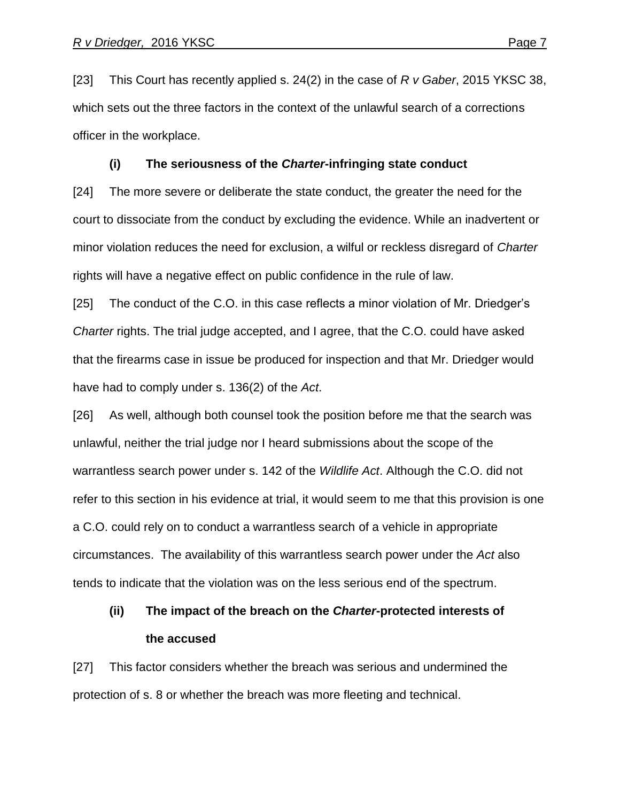[23] This Court has recently applied s. 24(2) in the case of *R v Gaber*, 2015 YKSC 38, which sets out the three factors in the context of the unlawful search of a corrections officer in the workplace.

#### **(i) The seriousness of the** *Charter***-infringing state conduct**

[24] The more severe or deliberate the state conduct, the greater the need for the court to dissociate from the conduct by excluding the evidence. While an inadvertent or minor violation reduces the need for exclusion, a wilful or reckless disregard of *Charter* rights will have a negative effect on public confidence in the rule of law.

[25] The conduct of the C.O. in this case reflects a minor violation of Mr. Driedger's *Charter* rights. The trial judge accepted, and I agree, that the C.O. could have asked that the firearms case in issue be produced for inspection and that Mr. Driedger would have had to comply under s. 136(2) of the *Act*.

[26] As well, although both counsel took the position before me that the search was unlawful, neither the trial judge nor I heard submissions about the scope of the warrantless search power under s. 142 of the *Wildlife Act*. Although the C.O. did not refer to this section in his evidence at trial, it would seem to me that this provision is one a C.O. could rely on to conduct a warrantless search of a vehicle in appropriate circumstances. The availability of this warrantless search power under the *Act* also tends to indicate that the violation was on the less serious end of the spectrum.

# **(ii) The impact of the breach on the** *Charter***-protected interests of the accused**

[27] This factor considers whether the breach was serious and undermined the protection of s. 8 or whether the breach was more fleeting and technical.